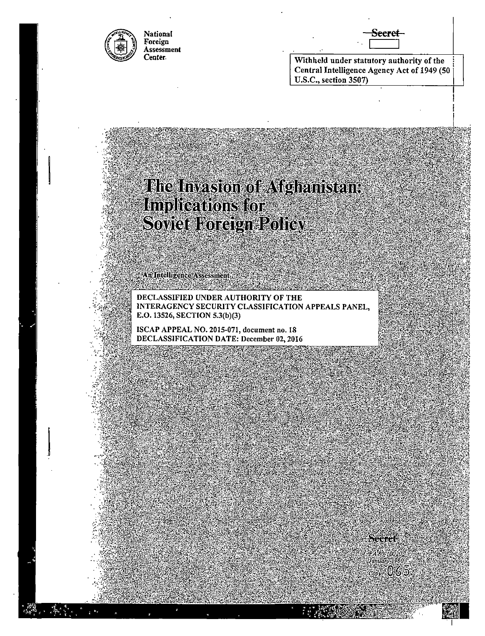

**National** Foreign Assessment Center.

**Seeret**  I I

ବ୍ୟୁକ୍ୟ:<br>ବିସେପି

065

i

Withheld under statutory authority of the Central Intelligence Agency Act of 1949 (50 \ U.S.C., section 3507)

# The Invasion of Afghanistan, **Implications for Soviet Roreign Policy**

**An Intelligence Assessment** 

DECLASSIFIED UNDER AUTHORITY OF THE INTERAGENCY SECURITY CLASSIFICATION APPEALS PANEL, E.O. 13526, SECTION 5.3(b)(3)

ISCAP APPEAL NO. 2015-071, document no. 18 DECLASSIFICATION DATE: December 02,2016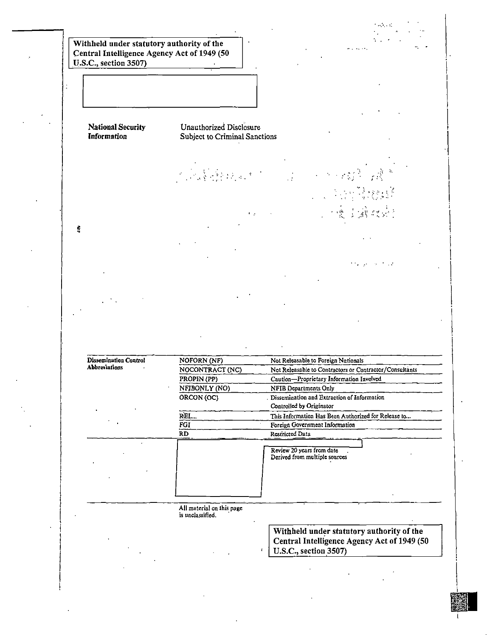**National Security Information** 

ģ.

**Abbreviations** 

Unauthorized Disclosure Subject to Criminal Sanctions

 $\frac{1}{2}$ 

م<br>مواليد الأول الأول

 $\frac{d\lambda}{d\lambda}$ 

 $\mathcal{L} \times \mathcal{L}$  , and

**不会, 数据技术** 

Dissemination Control NOFORN (NF) Not Releasable to Foreign Nationals NOCONTRACT (NC) Not Releasable to Contractors or Contractor/Consultants PROPIN (PP) Caution-Proprietary Information Involved

NFIBONLY (NO) NFIB Departments Only ORCON (OC) Dissemination and Extraction of Information Controlled by Originator REL... This Information Has Been Authorized for Release to... Foreign Government Information  $FGI$  $\overline{RD}$ Restricted Data Review 20 years from date Derived from multiple sources

> All material on this page is unclassified.

> > Withheld under statutory authority of the Central Intelligence Agency Act of 1949 (50 U.S.C., section 3507)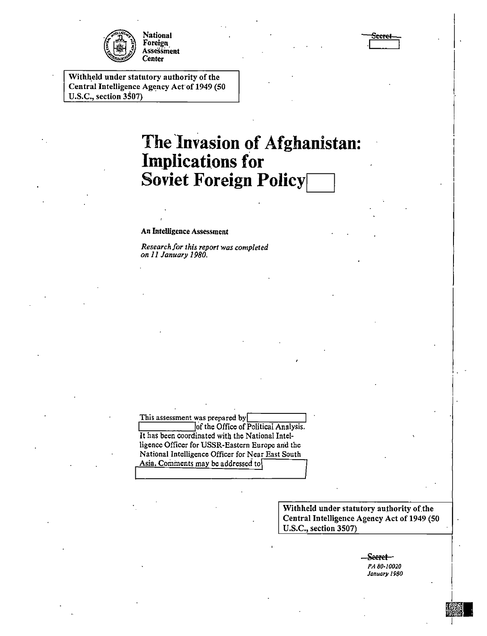

Assessment Center Withheld under statutory authority of the

Central Intelligence Agency Act of 1949 (50 U.S.C., section 3507)

## The Invasion of Afghanistan: **Implications for Soviet Foreign Policy**

### An Intelligence Assessment

Research for this report was completed on 11 January 1980.

This assessment was prepared by of the Office of Political Analysis. It has been coordinated with the National Intelligence Officer for USSR-Eastern Europe and the National Intelligence Officer for Near East South Asia, Comments may be addressed to

> Withheld under statutory authority of the Central Intelligence Agency Act of 1949 (50 U.S.C., section 3507)

> > -Seeret--PA 80-10020 January 1980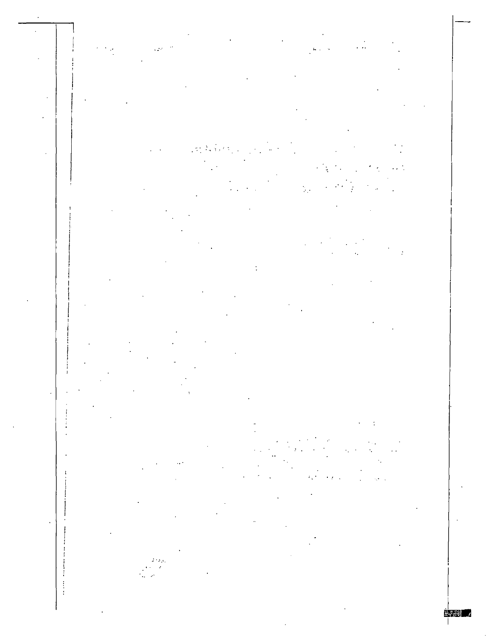$\mathcal{L}^{(1)}$ Ĺ,

 $\overline{a}$ 

 $\ddot{\phantom{a}}$ 

 $\mathcal{F}$  . : l,

医体型 人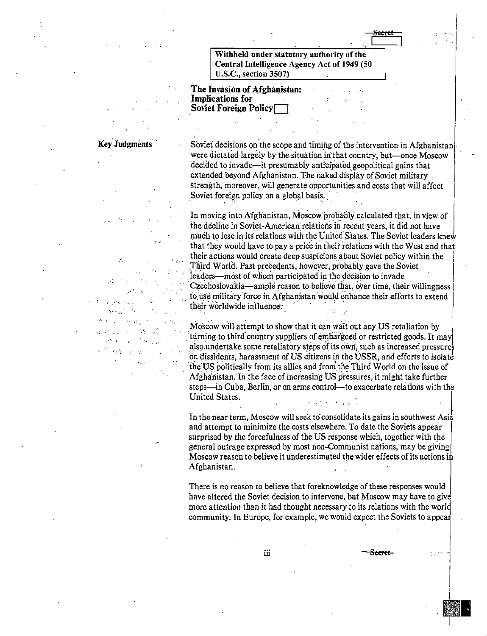Withheld under statutory authority of the Central Intelligence Agency Act of 1949 (50 **U.S.C., section 3507)** 

## The Invasion of Afghanistan: **Implications for Soviet Foreign Policy**

**Key Judgments** 

**Section** 

 $\mathcal{F}_{\mathcal{A}}$  .

Soviet decisions on the scope and timing of the intervention in Afghanistan were dictated largely by the situation in that country, but—once Moscow decided to invade—it presumably anticipated geopolitical gains that extended beyond Afghanistan. The naked display of Soviet military strength, moreover, will generate opportunities and costs that will affect Soviet foreign policy on a global basis.

In moving into Afghanistan, Moscow probably calculated that, in view of the decline in Soviet-American relations in recent years, it did not have much to lose in its relations with the United States. The Soviet leaders knew that they would have to pay a price in their relations with the West and that their actions would create deep suspicions about Soviet policy within the Third World. Past precedents, however, probably gave the Soviet leaders—most of whom participated in the decision to invade Czechoslovakia—ample reason to believe that, over time, their willingness to use military force in Afghanistan would enhance their efforts to extend their worldwide influence.

Moscow will attempt to show that it can wait out any US retaliation by turning to third country suppliers of embargoed or restricted goods. It may also undertake some retaliatory steps of its own, such as increased pressures on dissidents, harassment of US citizens in the USSR, and efforts to isolate the US politically from its allies and from the Third World on the issue of Afghanistan. In the face of increasing US pressures, it might take further steps—in Cuba, Berlin, or on arms control—to exacerbate relations with the United States.  $\mathcal{L}^{\text{max}}$  . The  $\mathcal{L}^{\text{max}}$ 

In the near term, Moscow will seek to consolidate its gains in southwest Asia and attempt to minimize the costs elsewhere. To date the Soviets appear surprised by the forcefulness of the US response which, together with the general outrage expressed by most non-Communist nations, may be giving Moscow reason to believe it underestimated the wider effects of its actions in Afghanistan.

There is no reason to believe that foreknowledge of these responses would have altered the Soviet decision to intervene, but Moscow may have to give more attention than it had thought necessary to its relations with the world community. In Europe, for example, we would expect the Soviets to appear

iii

<del>Seeret</del>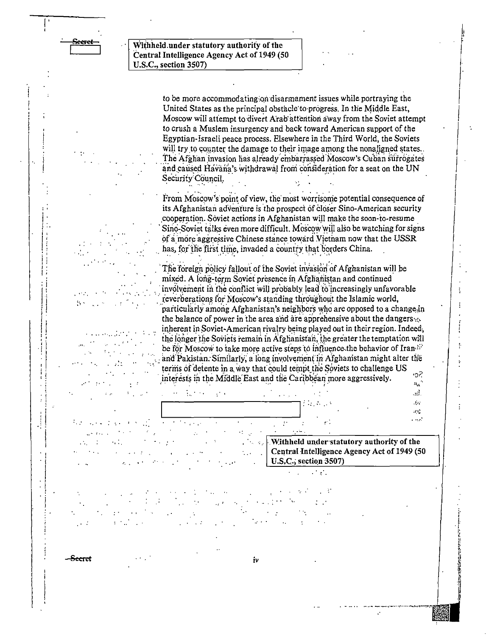Withheld under statutory authority of the Central Intelligence Agency Act of 1949 (50 U.S.C., section 3507)

> to be more accommodating on disarmament issues while portraying the United States as the principal obstacle to progress. In the Middle East, Moscow will attempt to divert Arab attention away from the Soviet attempt to crush a Muslem insurgency and back toward American support of the Egyptian-Israeli peace process. Elsewhere in the Third World, the Soviets will try to counter the damage to their image among the nonaligned states... The Afghan invasion has already embarrassed Moscow's Cuban surrogates and caused Havana's withdrawal from consideration for a seat on the UN Security Council.

> From Moscow's point of view, the most worrisome potential consequence of its Afghanistan adventure is the prospect of closer Sino-American security cooperation. Soviet actions in Afghanistan will make the soon-to-resume Sino-Soviet talks even more difficult. Moscow will also be watching for signs of a more aggressive Chinese stance toward Vietnam now that the USSR has, for the first time, invaded a country that borders China.

> The foreign policy fallout of the Soviet invasion of Afghanistan will be mixed. A long-term Soviet presence in Afglianistan and continued involvement in the conflict will probably lead to increasingly unfavorable reverberations for Moscow's standing throughout the Islamic world. particularly among Afghanistan's neighbors who are opposed to a change in the balance of power in the area and are apprehensive about the dangers at inherent in Soviet-American rivalry being played out in their region. Indeed, the longer the Soviets remain in Afghanistan, the greater the temptation will be for Moscow to take more active steps to influence the behavior of Iran. and Pakistan. Similarly, a long involvement in Afghanistan might alter the terms of detente in a way that could tempt the Soviets to challenge US -52  $\Delta_{\rm{tot}}$

interests in the Middle East and the Caribbean more aggressively.  $\mathcal{L}^{\mathcal{A}}$  , and  $\mathcal{L}^{\mathcal{A}}$  , and  $\mathcal{L}^{\mathcal{A}}$  , and  $\mathcal{L}^{\mathcal{A}}$ 

 $\mathcal{L}_{\mathbf{z}}$  $\sim$   $\sim$   $\sim$ ίúν.  $\mathcal{L}_{\text{max}}$ 

 $\mathcal{L}_{\text{max}}$  ,  $\mathcal{L}_{\text{max}}$ 

<del>-Secre</del>t

Withheld under statutory authority of the Central Intelligence Agency Act of 1949 (50  $U.S.C.$ ; section 3507)

 $\mathcal{H}^{\mathcal{G}}$ 

 $\mathcal{L}$  $\Omega^2$ الموداء

 $\mathcal{L}^{\text{max}}_{\text{max}}$ 

 $\pm$   $\pm$ 

i٧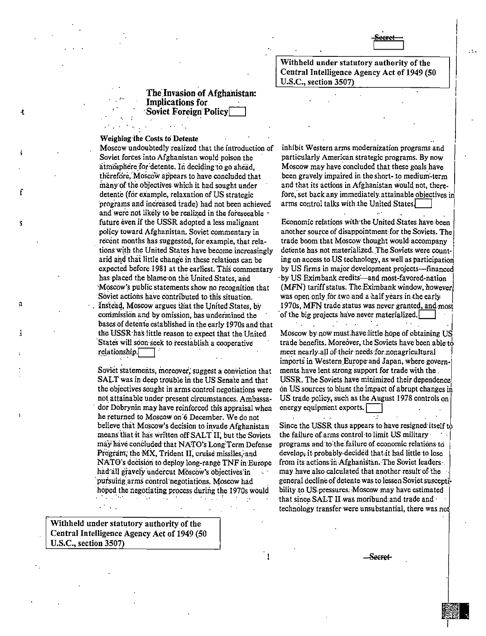## The Invasion of Afghanistan: Implications for **Soviet Foreign Policy**

#### **Weighing the Costs to Detente**

 $\ddot{\mathbf{t}}$ 

f

 $\mathbf S$ 

n.

Moscow undoubtedly realized that the introduction of Soviet forces into Afghanistan would poison the atmosphere for detente. In deciding to go ahead. therefore. Moscow appears to have concluded that many of the objectives which it had sought under detente (for example, relaxation of US strategic programs and increased trade) had not been achieved and were not likely to be realized in the foreseeable future even if the USSR adopted a less malignant policy toward Afghanistan. Soviet commentary in recent months has suggested, for example, that relations with the United States have become increasingly arid and that little change in these relations can be expected before 1981 at the earliest. This commentary has placed the blame on the United States, and Moscow's public statements show no recognition that Soviet actions have contributed to this situation. Instead, Moscow argues that the United States, by commission and by omission, has undermined the bases of detente established in the early 1970s and that the USSR has little reason to expect that the United States will soon seek to reestablish a cooperative relationship.

Soviet statements, moreover, suggest a conviction that SALT was in deep trouble in the US Senate and that the objectives sought in arms control negotiations were not attainable under present circumstances. Ambassador Dobrynin may have reinforced this appraisal when he returned to Moscow on 6 December. We do not believe that Moscow's decision to invade Afghanistan means that it has written off SALT II, but the Soviets may have concluded that NATO's Long Term Defense Program, the MX, Trident II, cruise missiles, and NATO's decision to deploy long-range TNF in Europe had all gravely undercut Moscow's objectives in pursuing arms control negotiations. Moscow had hoped the negotiating process during the 1970s would  $\ddotsc$  $\mathcal{L}^{\mathcal{L}}$  and  $\mathcal{L}^{\mathcal{L}}$  are  $\mathcal{L}^{\mathcal{L}}$  . In the  $\mathcal{L}^{\mathcal{L}}$ **Contract Contract**  $\sim 10$  $\hat{\mathcal{L}}$ 

 $\mathbf{I}$ 

Withheld under statutory authority of the Central Intelligence Agency Act of 1949 (50 U.S.C., section 3507)

Withheld under statutory authority of the Central Intelligence Agency Act of 1949 (50 U.S.C., section 3507)

inhibit Western arms modernization programs and particularly American strategic programs. By now Moscow may have concluded that these goals have been gravely impaired in the short- to medium-term and that its actions in Afghanistan would not, therefore, set back any immediately attainable objectives in arms control talks with the United States.

Economic relations with the United States have been another source of disappointment for the Soviets. The trade boom that Moscow thought would accompany detente has not materialized. The Soviets were counting on access to US technology, as well as participation by US firms in major development projects—financed by US Eximbank credits—and most-favored-nation (MFN) tariff status. The Eximbank window, however. was open only for two and a half years in the early 1970s, MFN trade status was never granted, and most of the big projects have never materialized.  $\mathcal{F}(\mathcal{L}^{\mathcal{A}}(\mathcal{L}^{\mathcal{A}}(\mathcal{L}^{\mathcal{A}}(\mathcal{L}^{\mathcal{A}}(\mathcal{L}^{\mathcal{A}}(\mathcal{L}^{\mathcal{A}}(\mathcal{L}^{\mathcal{A}}(\mathcal{L}^{\mathcal{A}}(\mathcal{L}^{\mathcal{A}}(\mathcal{L}^{\mathcal{A}}(\mathcal{L}^{\mathcal{A}}(\mathcal{L}^{\mathcal{A}}(\mathcal{L}^{\mathcal{A}}(\mathcal{L}^{\mathcal{A}}(\mathcal{L}^{\mathcal{A}}(\mathcal{L}^{\mathcal{A}}(\mathcal{L}$ 

Moscow by now must have little hope of obtaining US trade benefits. Moreover, the Soviets have been able to meet nearly all of their needs for nonagricultural imports in Western Europe and Japan, where governments have lent strong support for trade with the. USSR. The Soviets have minimized their dependence on US sources to blunt the impact of abrupt changes in US trade policy, such as the August 1978 controls on energy equipment exports.  $\lceil$ 

Since the USSR thus appears to have resigned itself to the failure of arms control to limit US military. programs and to the failure of economic relations to develop, it probably decided that it had little to lose from its actions in Afghanistan. The Soviet leaders may have also calculated that another result of the general decline of detente was to lessen Soviet susceptibility to US pressures. Moscow may have estimated that since SALT II was moribund and trade and technology transfer were unsubstantial, there was not

<del>Secret</del>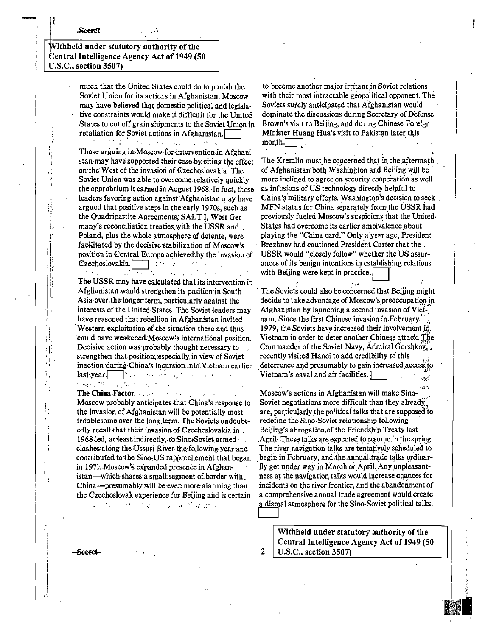$\frac{1}{2}$ 

 $\left| \cdot \right|$ 

İ.

h

ŢÌ

 $:\mathbb{N}$ 

i,

 $\mathbb{F}_p$ 

 $\frac{1}{2}$ 

 $\frac{1}{2}$ 

Ħ

Withheld under statutory authority of the Central Intelligence Agency Act of 1949 (50 **U.S.C.**, section 3507)

> much that the United States could do to punish the Soviet Union for its actions in Afghanistan, Moscow may have believed that domestic political and legislative constraints would make it difficult for the United States to cut off grain shipments to the Soviet Union in retaliation for Soviet actions in Afghanistan.  $\label{eq:2} \mathcal{O}(\mathcal{O}_{\mathcal{A}}) \cong \mathcal{O}_{\mathcal{A}}(\mathcal{O}_{\mathcal{A}}) \cong \mathcal{O}_{\mathcal{A}}(\mathcal{O}_{\mathcal{A}}) \cong \mathcal{O}_{\mathcal{A}}(\mathcal{O}_{\mathcal{A}}) \cong \mathcal{O}_{\mathcal{A}}(\mathcal{O}_{\mathcal{A}})$

Those arguing in Moscow for intervention in Afghanistan may have supported their case by citing the effect on the West of the invasion of Czechoslovakia. The Soviet Union was able to overcome relatively quickly the opprobrium it earned in August 1968. In fact, those leaders favoring action against Afghanistan may have argued that positive steps in the early 1970s, such as the Quadripartite Agreements, SALT I, West Germany's reconciliation treaties with the USSR and. Poland, plus the whole atmosphere of detente, were facilitated by the decisive stabilization of Moscow's position in Central Europe achieved by the invasion of  $C$ zechoslovakia. $\Box$  $\omega$  -  $\omega$  -  $\omega$  -

प्रमाण  $\mathcal{A}^{\mathcal{A}}$  , where  $\mathcal{A}^{\mathcal{A}}$  and  $\mathcal{A}^{\mathcal{A}}$ The USSR may have calculated that its intervention in Afghanistan would strengthen its position in South Asia over the longer term, particularly against the interests of the United States. The Soviet leaders may have reasoned that rebellion in Afghanistan invited Western exploitation of the situation there and thus could have weakened Moscow's international position. Decisive action was probably thought necessary to strengthen that position; especially in view of Soviet inaction during China's incursion into Vietnam earlier last year. The construction of the state of  $\mathbb{R}^n$ n kasarni Turjishin NGC  $\mathcal{L}_{\text{max}}$  , where  $\mathcal{L}_{\text{max}}$ 

**Contract Contract** 

## The China Factor: All Alberta China Factor: Alberta China Factor:

经营货物

Moscow probably anticipates that China's response to the invasion of Afghanistan will be potentially most troublesome over the long term. The Soviets undoubtedly recall that their invasion of Czechoslovakia in 1968 led, at least indirectly, to Sino-Soviet armed clashes along the Ussuri River the following year and contributed to the Sino-US rapprochement that began in 1971. Moscow's expanded presence in Afghanistan—which shares a small segment of border with. China—presumably will be even more alarming than the Czechoslovak experience for Beiling and is certain ل المُؤتِينَ أَمَّا عَلَيْهِ الْمَرْضِينَ الْمَرْبَعَ الْمُؤْتَّى الْمُعَامَلَ الْمَرْضَى الْمُؤْتَّ

to become another major irritant in Soviet relations with their most intractable geopolitical opponent. The Soviets surely anticipated that Afghanistan would dominate the discussions during Secretary of Defense Brown's visit to Beijing, and during Chinese Foreign Minister Huang Hua's visit to Pakistan later this  $month.\Gamma$ 

The Kremlin must be concerned that in the aftermath of Afghanistan both Washington and Beijing will be more inclined to agree on security cooperation as well as infusions of US technology directly helpful to China's military efforts. Washington's decision to seek MFN status for China separately from the USSR had previously fueled Moscow's suspicions that the United-States had overcome its earlier ambivalence about playing the "China card." Only a year ago, President Brezhnev had cautioned President Carter that the. USSR would "closely follow" whether the US assurances of its benign intentions in establishing relations with Beijing were kept in practice.

The Soviets could also be concerned that Beiling might decide to take advantage of Moscow's preoccupation in Afghanistan by launching a second invasion of Vietnam. Since the first Chinese invasion in February. 1979, the Soviets have increased their involvement in Vietnam in order to deter another Chinese attack. The Commander of the Soviet Navy, Admiral Gorshkov, recently visited Hanoi to add credibility to this deterrence and presumably to gain increased access to Vietnam's naval and air facilities.  $\Delta \vec{r}$ 

 $\mathcal{L}_{\mathbf{f}}$ 

Moscow's actions in Afghanistan will make Sinom. Soviet negotiations more difficult than they already are, particularly the political talks that are supposed to redefine the Sino-Soviet relationship following Beijing's abrogation of the Friendship Treaty last April. These talks are expected to resume in the spring. The river navigation talks are tentatively scheduled to begin in February, and the annual trade talks ordinarily get under way in March or April. Any unpleasantness at the navigation talks would increase chances for incidents on the river frontier, and the abandonment of a comprehensive annual trade agreement would create a dismal atmosphere for the Sino-Soviet political talks.

Withheld under statutory authority of the Central Intelligence Agency Act of 1949 (50 U.S.C., section 3507)

 $\overline{2}$ 

فمعممك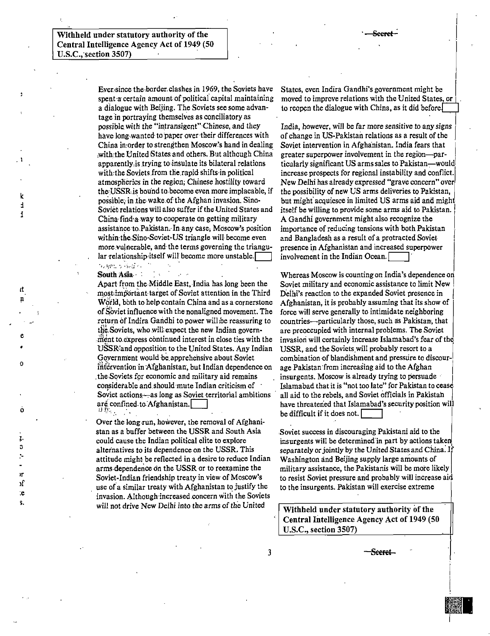Ever since the border clashes in 1969, the Soviets have spent a certain amount of political capital maintaining a dialogue with Beijing. The Soviets see some advantage in portraying themselves as conciliatory as possible with the "intransigent" Chinese, and they have long wanted to paper over their differences with China in order to strengthen Moscow's hand in dealing with the United States and others. But although China apparently, is trying to insulate its bilateral relations with the Soviets from the rapid shifts in political atmospherics in the region; Chinese hostility toward the USSR is bound to become even more implacable, if possible, in the wake of the Afghan invasion. Sino-Soviet relations will also suffer if the United States and China find a way to cooperate on getting military assistance to Pakistan. In any case, Moscow's position within the Sino-Soviet-US triangle will become even more vulnerable, and the terms governing the triangular relationship itself will become more unstable. to and a Roder of the

#### South Asia

 $\sim$ 

k

E

 $\mathbf{1}$ 

ıt

 $\Omega$ 

O

ır

Σf

 $\ddot{\phantom{0}}$ 

S.

Apart from the Middle East, India has long been the most important target of Soviet attention in the Third World, both to help contain China and as a cornerstone of Soviet influence with the nonaligned movement. The return of Indira Gandhi to power will be reassuring to the Soviets, who will expect the new Indian government to express continued interest in close ties with the USSR and opposition to the United States. Any Indian Government would be apprehensive about Soviet intervention in Afghanistan, but Indian dependence on the Soviets for economic and military aid remains considerable and should mute Indian criticism of Soviet actions—as long as Soviet territorial ambitions are confined to Afghanistan.  $\mathfrak{g}(\mathfrak{g})$  . The  $\mathfrak{g}(\mathfrak{g})$ 

Over the long run, however, the removal of Afghanistan as a buffer between the USSR and South Asia could cause the Indian political elite to explore alternatives to its dependence on the USSR. This attitude might be reflected in a desire to reduce Indian arms dependence on the USSR or to reexamine the Soviet-Indian friendship treaty in view of Moscow's use of a similar treaty with Afghanistan to justify the invasion. Although increased concern with the Soviets will not drive New Delhi into the arms of the United

States, even Indira Gandhi's government might be moved to improve relations with the United States, or to reopen the dialogue with China, as it did before.

India, however, will be far more sensitive to any signs of change in US-Pakistan relations as a result of the Soviet intervention in Afghanistan. India fears that greater superpower involvement in the region-particularly significant US arms sales to Pakistan—would increase prospects for regional instability and conflict. New Delhi has already expressed "grave concern" over the possibility of new US arms deliveries to Pakistan, but might acquiesce in limited US arms aid and might itself be willing to provide some arms aid to Pakistan. A Gandhi government might also recognize the importance of reducing tensions with both Pakistan and Bangladesh as a result of a protracted Soviet presence in Afghanistan and increased superpower involvement in the Indian Ocean.

Whereas Moscow is counting on India's dependence on Soviet military and economic assistance to limit New Delhi's reaction to the expanded Soviet presence in Afghanistan, it is probably assuming that its show of force will serve generally to intimidate neighboring countries-particularly those, such as Pakistan, that are preoccupied with internal problems. The Soviet invasion will certainly increase Islamabad's fear of the USSR, and the Soviets will probably resort to a combination of blandishment and pressure to discourage Pakistan from increasing aid to the Afghan insurgents. Moscow is already trying to persuade Islamabad that it is "not too late" for Pakistan to cease all aid to the rebels, and Soviet officials in Pakistan have threatened that Islamabad's security position will be difficult if it does not.  $\lceil$ 

Soviet success in discouraging Pakistani aid to the insurgents will be determined in part by actions taken separately or jointly by the United States and China. If Washington and Beijing supply large amounts of military assistance, the Pakistanis will be more likely to resist Soviet pressure and probably will increase aid to the insurgents. Pakistan will exercise extreme

Withheld under statutory authority of the Central Intelligence Agency Act of 1949 (50 U.S.C., section 3507)

3

<del>-Seeret</del>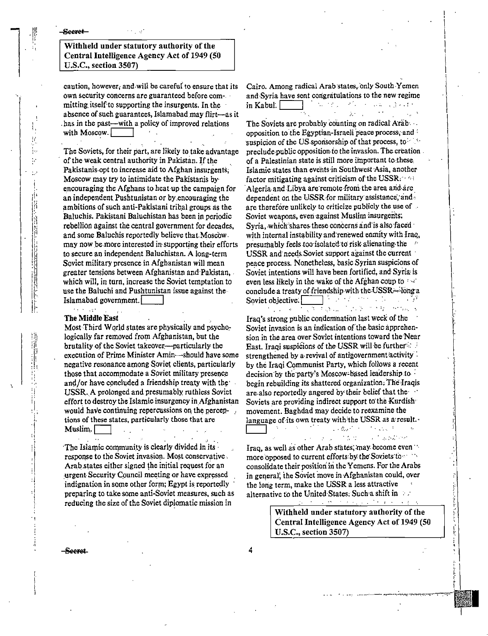**I** 

ļ,

ir<br>∵

þέ

 $\mathbb{Z}^3$ 

 $\frac{1}{H}$ 

in permanent de la propieta del control de la propieta del control de la propieta del control de la propieta d<br>Del control de la propieta del control de la propieta del control de la propieta del control de la propieta de<br>

**The Second Second Second** 

Withheld under statutory authority of the Central Intelligence Agency Act of 1949 (50 U.S.C., section 3507)

cantion, however, and will be careful to ensure that its own security concerns are guaranteed before committing itself to supporting the insurgents. In the absence of such guarantees, Islamabad may flirt—as it has in the past—with a policy of improved relations with Moscow.

The Soviets, for their part, are likely to take advantage of the weak central authority in Pakistan. If the Pakistanis opt to increase aid to Afghan insurgents. Moscow may try to intimidate the Pakistanis byencouraging the Afghans to heat up the campaign for an independent Pushtunistan or by encouraging the ambitions of such anti-Pakistani tribal groups as the Baluchis. Pakistani Baluchistan has been in periodic rebellion against the central government for decades, and some Baluchis reportedly believe that Moscow. may now be more interested in supporting their efforts to secure an independent Baluchistan. A long-term Soviet military presence in Afghanistan will mean greater tensions between Afghanistan and Pakistan, which will, in turn, increase the Soviet temptation to use the Baluchi and Pushtunistan issue against the Islamabad government.

#### **Park Service** The Middle East

Most Third World states are physically and psychologically far removed from Afghanistan, but the brutality of the Soviet takeover-particularly the execution of Prime Minister Amin-should have some negative resonance among Soviet clients, particularly those that accommodate a Soviet military presence and/or have concluded a friendship treaty with the USSR. A prolonged and presumably ruthless Soviet effort to destroy the Islamic insurgency in Afghanistan would have continuing repercussions on the perceptions of these states, particularly those that are Muslim.  $\mathcal{L}_{\text{max}}$  ,  $\mathcal{L}_{\text{max}}$  $\sim 10^{-1}$ 

The Islamic community is clearly divided in its response to the Soviet invasion. Most conservative. Arab states either signed the initial request for an urgent Security Council meeting or have expressed indignation in some other form; Egypt is reportedly preparing to take some anti-Soviet measures, such as reducing the size of the Soviet diplomatic mission in

Cairo. Among radical Arab states, only South Yemen and Syria have sent congratulations to the new regime in Kabul | 化四聚合 化乙二烯 医出血 医霍夫氏杆菌  $\mathcal{L}(\mathcal{M})$  and  $\sim$  $\Delta\sigma = 10$ 

The Soviets are probably counting on radical Arab opposition to the Egyptian-Israeli peace process, and suspicion of the US sponsorship of that process, to preclude public opposition to the invasion. The creation. of a Palestinian state is still more important to these. Islamic states than events in Southwest Asia, another factor mitigating against criticism of the USSR. Algeria and Libya are remote from the area and are dependent on the USSR for military assistance, and are therefore unlikely to criticize publicly the use of Soviet weapons, even against Muslim insurgents. Syria, which shares these concerns and is also faced with internal instability and renewed enmity with Iraq. presumably feels too isolated to risk alienating the USSR and needs Soviet support against the current peace process. Nonetheless, basic Syrian suspicions of Soviet intentions will have been fortified, and Syria is even less likely in the wake of the Afghan coup to the conclude a treaty of friendship with the USSR—long a , objectives  $\frac{1}{1 + \frac{1}{2} + \frac{1}{2} + \frac{1}{2} + \frac{1}{2} + \frac{1}{2} + \frac{1}{2} + \frac{1}{2} + \frac{1}{2} + \frac{1}{2} + \frac{1}{2} + \frac{1}{2} + \frac{1}{2} + \frac{1}{2} + \frac{1}{2} + \frac{1}{2} + \frac{1}{2} + \frac{1}{2} + \frac{1}{2} + \frac{1}{2} + \frac{1}{2} + \frac{1}{2} + \frac{1}{2} + \frac{1}{2} + \frac{1}{2} + \frac{1}{2} +$ 

Iraq's strong public condemnation last week of the Soviet invasion is an indication of the basic apprehension in the area over Soviet intentions toward the Near East. Iraqi suspicions of the USSR will be further  $\mathbb{R}^3$ . strengthened by a revival of antigovernment activity by the Iraqi Communist Party, which follows a recent decision by the party's Moscow-based leadership to begin rebuilding its shattered organization. The Iraqis are also reportedly angered by their belief that the Soviets are providing indirect support to the Kurdish movement. Baghdad may decide to reexamine the language of its own treaty with the USSR as a result.  $\mathcal{N}=\mathcal{N}=\mathcal{N}=\mathcal{N}$  $\label{eq:1} \mathcal{L}^{\mathcal{L}}(\mathcal{L}^{\mathcal{L}}_{\mathcal{M}}(\mathcal{L}^{\mathcal{L}}_{\mathcal{M}})) = \mathcal{L}^{\mathcal{L}}(\mathcal{L}^{\mathcal{L}}_{\mathcal{M}}(\mathcal{L}^{\mathcal{L}}_{\mathcal{M}}))$ 

 $\mathcal{L}(\mathcal{L}) = \mathcal{L}(\mathcal{L}) = \mathcal{L}(\mathcal{L}, \mathcal{L})$  $\mathcal{L}_{\text{max}}$  , and the contract Iraq, as well as other Arab states, may become even more opposed to current efforts by the Soviets to with consolidate their position in the Yemens. For the Arabs in general, the Soviet move in Afghanistan could, over the long term, make the USSR a less attractive alternative to the United States: Such a shift in

4

Withheld under statutory authority of the Central Intelligence Agency Act of 1949 (50 **U.S.C., section 3507)** 

医肺炎 计无线路 经无利利润 医重

-Secret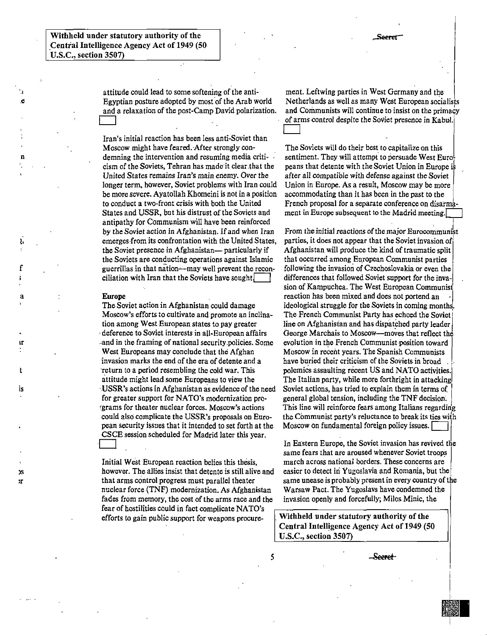'n,

**IT** 

attitude could lead to some softening of the anti .e Egyptian posture adopted by most.of the Arab world and a relaxation of the post-Camp David polarization. D

Iran's initial reaction has been less anti-Soviet than Moscow might have feared. After strongly condemning the intervention and resuming media criticism of the Soviets, Tehran has made it clear that the United States remains Iran's main enemy. Over the longer term, however, Soviet problems with Iran could be more severe. Ayatollah Khomeini is not in a position to conduct a two-front crisis with both the United States and USSR, but his distrust of the Soviets and antipathy for Communism will have been reinforced by the Soviet action in Afghanistan. If and when Iran  $j$ ,  $\blacksquare$  emerges from its confrontation with the United States, the Soviet presence in Afghanistan- particularly if the Soviets are conducting operations against Islamic guerrillas in that nation— $-may$  well prevent the reconciliation with Iran that the Soviets have sought.

#### a contract in the Europe

The Soviet action in Afghanistan could damage Moscow's efforts to cultivate and promote an inclination among West European states to pay greater ·deference to Soviet interests in all-European affairs .•and in the framing of national security.policies. Some West Europeans may conclude that the Afghan invasion marks the end of the era of detente and a ·return to a period resembling the cold war. This attitude might lead some Europeans to view the is **ISSR's actions in Afghanistan as evidence of the need** for greater support for NATO's modernization pro •grams for theater nuclear forces. Moscow's actions could also complicate the USSR's proposals on European security issues that it intended to set forth at the CSCE session scheduled for Madrid later this year. D

Initial West European reaction belies this thesis, )S however. The allies insist that detente is still alive and :r that arms control progress must parallel theater nuclear force (TNF) modernization. As Afghanistan fades from memory, the cost of the arms race and the fear of hostilities could in fact complicate NATO's efforts to gain public support for weapons procure-

 $\vert$ ment. Leftwing parties in West Germany and the Netherlands as well as many West European socialists and Communists will continue to insist on the primacy of arms control despite the Soviet presence in Kabul.

The Soviets will do their best to capitalize on this sentiment. They will attempt to persuade West Europeans that detente with the Soviet Union in Europe *is*  after all compatible with defense against the Soviet Union in Europe. As a result, Moscow may be more accommodating than it has been in the past to the French proposal for a separate conference on disarmament in Europe subsequent to the Madrid meeting.

From the initial reactions of the major Eurocommunist parties, it does not appear that the Soviet invasion of l<br>I Afghanistan will produce the kind of traumatic split that occurred among European Communist parties following the invasion of Czechoslovakia or even the differences thai followed Soviet support for the invasion of Kampuchea. The West European Communist reaction has been mixed and does not portend an ideological struggle for the Soviets in coming months. The French Communist Party has echoed the Soviet! line on Afghanistan and has dispatched party leader George Marchais to Moscow-moves that reflect the evolution in the French Communist position toward Moscow in reeent years. The Spanish Communists have buried their criticism of the Soviets in broad polemics assaulting recent US and NATO activities. The Italian party, while more forthright in attacking Soviet actions, has tried to explain them in terms of general global tension, including the TNF decision. This line will reinforce fears among Italians regarding the Communist party's reluctance to break its ties with Moscow on fundamental foreign policy issues.

In Eastern Europe, the Soviet invasion has revived the same fears that are aroused whenever Soviet troops **march across national borders. These concerns are**  easier to detect in Yugoslavia and Romania, but the same unease is probably present in every country of the Warsaw Pact. The Yugoslavs have condemned the invasion openly and forcefully; Milos Minic, the

. Withheld under statutory authority of the Central Intelligence Agency Act of 1949 (50 U.S.C., section 3507)

5 Seeret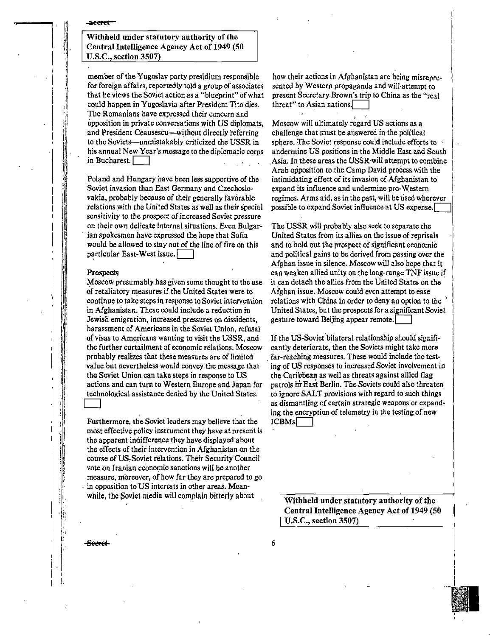**:!eetet** 

II .,1 ł  $\mathbb{I}$  .

tl .'1 ',I ~q

ill

1: iil. I: I' f:

!<br>|<br>|<br>|<br>|<br>|<br>|<br>|<br>|<br>|<br>|<br><br>|<br><br>|

" 'I

 $\Vert$ 

II ''~ ~ II

 $\parallel$ 

 $\frac{1}{2}$ .

li·j' I'

### Withheld under statutory authority of the Central Intelligence Agency Act of 1949 (50 U.S.C., section 3507)

member of the Yugoslav party presidium responsible for foreign affairs, reportedly told a group of associates that he views the Soviet action as a "blueprint" of what could happen in Yugoslavia after President Tito dies . The Romanians have expressed their concern and opposition in private conversations with US diplomats, and President Ceausescu-without directly referring to the Soviets--unmistakably criticized the USSR in his annual New Year's message to the diplomatic corps in Bucharest.  $\lceil$ 

Poland and Hungary have been less supportive of the Soviet invasion than East Germany and Czechoslovakia, probably because of their generally favorable relations with the United States as well as their special **sensitivity to the prospect of increased Soviet pressure**  on their own delicate internal situations. Even Bulgarian spokesmen have expressed the hope that Sofia would be allowed to stay out of the line of fire on this particular East-West issue.

#### Prospects

Moscow presumably has given some thought to the use of retaliatory measures if the United States were to continue to take steps in response to Soviet intervention in Afghanistan. These could include a reduction in **Jewish emigration, increased pressures on dissidents,**  harassment of Americans in the Soviet Union, refusal of visas to Americans wanting to visit the USSR, and the further curtailment of economic relations. Moscow probably realizes that these measures are of limited value but nevertheless would convey the message that the Soviet Union can take steps in response to US actions and can turn to Western Europe and Japan for technological assistance denied by the United States. D

**Furthermore, the Soviet leaders may believe that the**  most effective policy instrument they have at present is the apparent indifference they have displayed about the effects of their intervention in Afghanistan on the course of US-Soviet relations. Their Security Council vote on Iranian economic sanctions will be another measure, moreover, of how far they are prepared to go . in opposition to US interests in other areas. Meanwhile, the Soviet media will complain bitterly about

how their actions in Afghanistan are being misrepresented by Western propaganda and will-attempt-to **present Secretary Brown's trip to China as the "real**  threat" to Asian nations.

Moscow will ultimately regard US actions as a challenge that must be answered in the political [ sphere. The Soviet response could include efforts to undermine US positions in the Middle East and South Asia. In these areas the USSR will attempt to combine Arab opposition to the Camp David process with the 1 intimidating effect of its invasion of Afghanistan to expand its influence and undermine pro-Western regimes. Arms aid, as in the past, will be used wherever possible to expand Soviet influence at US expense.

. I The USSR will probably also seek to separate the  $\left\{\right\}$ United States from its allies on the issue of reprisals and to hold out the prospect of significant economic and political gains to be derived from passing over the Afghan issue in silence. Moscow will also hope that it can weaken allied unity on ·the long-range TNF issue if it can detach the allies from the United States on the Afghan issue. Moscow could even attempt to ease relations with China in order to deny an option to the ' United States, but the prospects for a significant Soviet gesture toward Beijing appear remote.

If the US-Soviet bilateral relationship should significantly deteriorate, then the Soviets might take more . far-reaching measures. These would include the testing of US responses to increased Soviet involvement in the Caribbean as well as threats against allied flag patrols in East Berlin. The Soviets could also threaten to ignore SALT provisions with regard to such things as dismantling of certain strategic weapons or expanding the encryption of telemetry in the testing of new  $ICBMs$ 

Withheld under statutory authority of the Central Intelligence Agency Act of 1949 (50  $U.S.C., section 3507)$ 

6

**Seeret**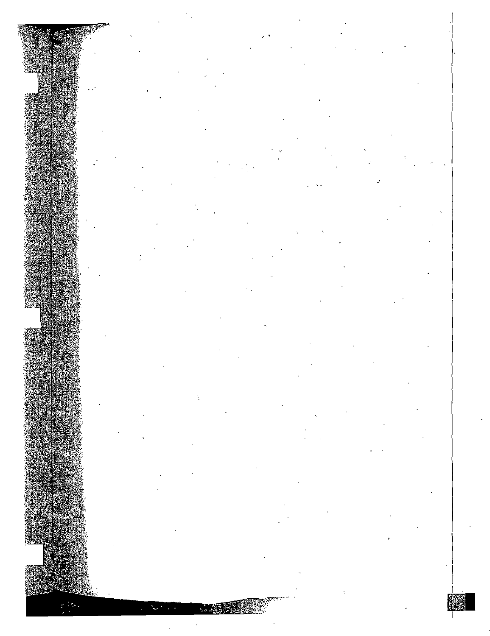